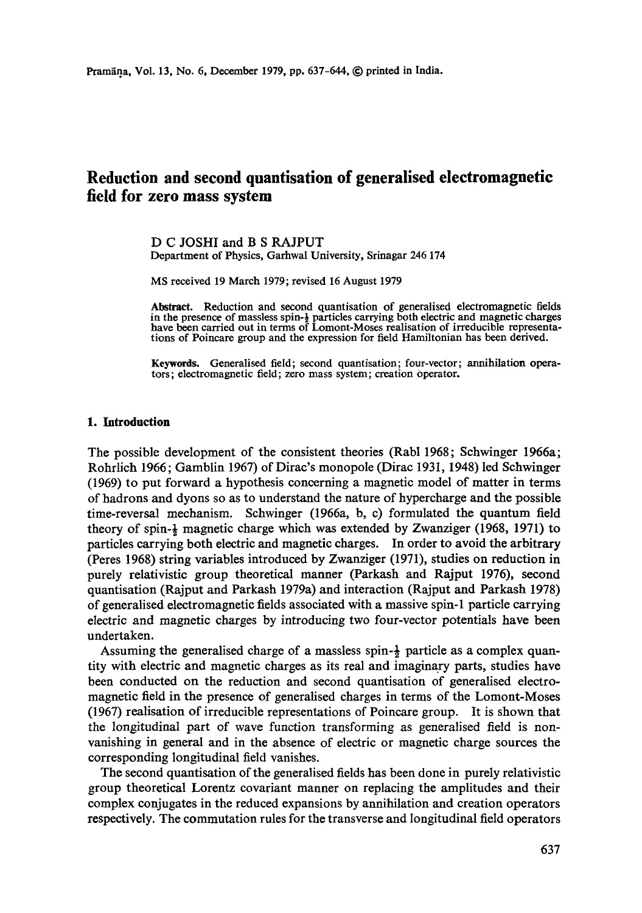# **Reduction and second quantisation of generalised electromagnetic field for zero mass system**

D C JOSHI and B S RAJPUT Department of Physics, Garhwal University, Srinagar 246 174

MS received 19 March 1979; revised 16 August 1979

**Abstract.** Reduction and second quantisation of generalised electromagnetic fields in the presence of massless spin-½ particles carrying both electric and magnetic charges have been carried out in terms of Lomont-Moses realisation of irreducible representations of Poincare group and the expression for field Hamiltonian has been derived.

**Keywords.** Generalised field; second quantisation; four-vector; annihilation operators; electromagnetic field; zero mass system; creation Operator.

### 1. Introduction

The possible development of the consistent theories (Rabl 1968; Sehwinger 1966a; Rohrlich 1966; Gamblin 1967) of Dirac's monopole (Dirac 193I, 1948) led Schwinger (1969) to put forward a hypothesis concerning a magnetic model of matter in terms of hadrons and dyons so as to understand the nature of hypercharge and the possible time-reversal mechanism. Schwinger (1966a, b, c) formulated the quantum field theory of spin-½ magnetic charge which was extended by Zwanziger (1968, 1971) to particles carrying both electric and magnetic charges. In order to avoid the arbitrary (Peres 1968) string variables introduced by Zwanziger (1971), studies on reduction in purely relativistic group theoretical manner (Parkash and Rajput 1976), second quantisation (Rajput and Parkash 1979a) and interaction (Rajput and Parkash 1978) of generalised electromagnetic fields associated with a massive spin-1 particle carrying electric and magnetic charges by introducing two four-vector potentials have been undertaken.

Assuming the generalised charge of a massless spin- $\frac{1}{2}$  particle as a complex quantity with electric and magnetic charges as its real and imaginary parts, studies have been conducted on the reduction and second quantisation of generalised electromagnetic field in the presence of generalised charges in terms of the Lomont-Moses (1967) realisation of irreducible representations of Poincare group. It is shown that the longitudinal part of wave function transforming as generalised field is nonvanishing in general and in the absence of electric or magnetic charge sources the corresponding longitudinal field vanishes.

The second quantisation of the generalised fields has been done in purely relativistic group theoretical Lorentz covariant manner on replacing the amplitudes and their complex conjugates in the reduced expansions by annihilation and creation operators respectively. The commutation rules for the transverse and longitudinal field operators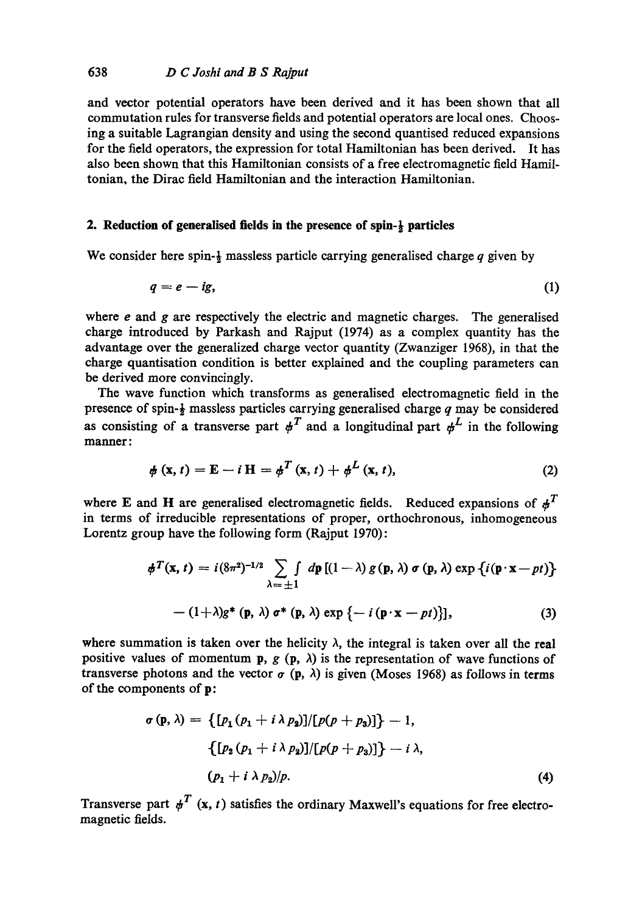and vector potential operators have been derived and it has been shown that all commutation rules for transverse fields and potential operators are local ones. Choosing a suitable Lagrangian density and using the second quantised reduced expansions for the field operators, the expression for total Hamiltonian has been derived. It has also been shown that this Hamiltonian consists of a free electromagnetic field Hamiltonian, the Dirae field Hamiltonian and the interaction Hamiltonian.

### **2. Reduction of generalised fields in the presence of spin-½ particles**

We consider here spin- $\frac{1}{2}$  massless particle carrying generalised charge q given by

$$
q=e-ig,\tag{1}
$$

where  $e$  and  $g$  are respectively the electric and magnetic charges. The generalised charge introduced by Parkash and Rajput (1974) as a complex quantity has the advantage over the generalized charge vector quantity (Zwanziger 1968), in that the charge quantisation condition is better explained and the coupling parameters can be derived more convincingly.

The wave function which transforms as generalised electromagnetic field in the presence of spin- $\frac{1}{2}$  massless particles carrying generalised charge q may be considered as consisting of a transverse part  $\phi^T$  and a longitudinal part  $\phi^L$  in the following manner:

$$
\phi\left(\mathbf{x},t\right) = \mathbf{E} - i\,\mathbf{H} = \phi^T\left(\mathbf{x},t\right) + \phi^L\left(\mathbf{x},t\right),\tag{2}
$$

where E and H are generalised electromagnetic fields. Reduced expansions of  $\phi^T$ in terms of irreducible representations of proper, orthochronous, inhomogeneous Lorentz group have the following form (Rajput 1970):

$$
\phi^T(\mathbf{x},t) = i(8\pi^2)^{-1/2} \sum_{\lambda=\pm 1} \int d\mathbf{p} \left[ (1-\lambda) g(\mathbf{p},\lambda) \sigma(\mathbf{p},\lambda) \exp \{ i(\mathbf{p}\cdot\mathbf{x}-pt) \} \right]
$$

$$
-(1+\lambda)g^*(\mathbf{p},\lambda)\sigma^*(\mathbf{p},\lambda)\exp\left\{-i(\mathbf{p}\cdot\mathbf{x}-pt)\right\},\tag{3}
$$

where summation is taken over the helicity  $\lambda$ , the integral is taken over all the real positive values of momentum p,  $g(p, \lambda)$  is the representation of wave functions of transverse photons and the vector  $\sigma$  (p,  $\lambda$ ) is given (Moses 1968) as follows in terms of the components of p:

$$
\sigma(p, \lambda) = \{ [p_1 (p_1 + i \lambda p_2)] / [p(p + p_3)] \} - 1,
$$
  

$$
\{ [p_2 (p_1 + i \lambda p_2)] / [p(p + p_3)] \} - i \lambda,
$$
  

$$
(p_1 + i \lambda p_2) / p.
$$
 (4)

Transverse part  $\psi^T$  (x, t) satisfies the ordinary Maxwell's equations for free electromagnetic fields.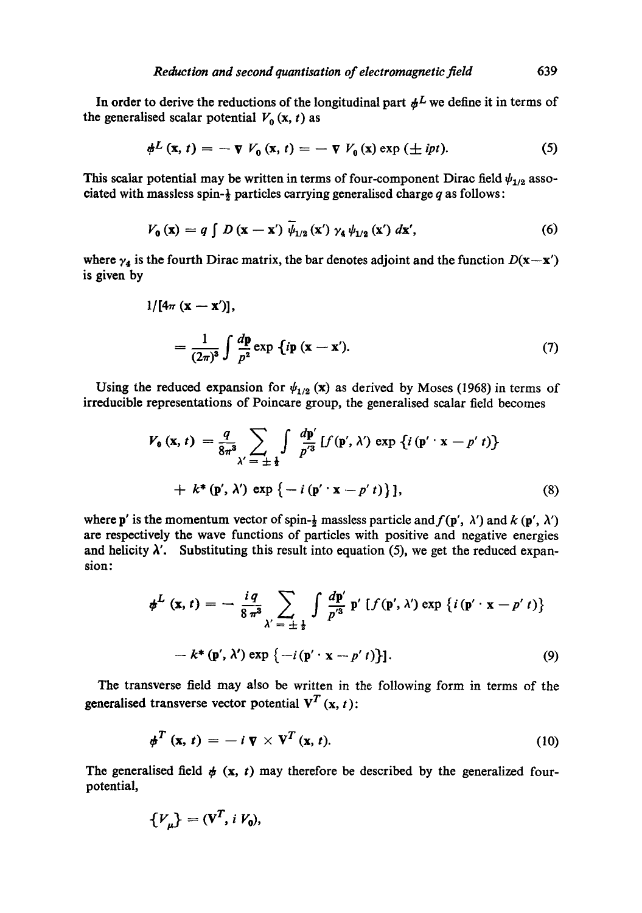In order to derive the reductions of the longitudinal part  $#L$  we define it in terms of the generalised scalar potential  $V_0(x, t)$  as

$$
\phi^L\left(\mathbf{x},\,t\right) = -\,\nabla\,V_0\left(\mathbf{x},\,t\right) = -\,\nabla\,V_0\left(\mathbf{x}\right)\exp\left(\pm\,ipt\right). \tag{5}
$$

This scalar potential may be written in terms of four-component Dirac field  $\psi_{1/2}$  associated with massless spin- $\frac{1}{2}$  particles carrying generalised charge q as follows:

$$
V_0(\mathbf{x}) = q \int D(\mathbf{x} - \mathbf{x}') \overline{\psi}_{1/2}(\mathbf{x}') \gamma_4 \psi_{1/2}(\mathbf{x}') d\mathbf{x}', \qquad (6)
$$

where  $\gamma_4$  is the fourth Dirac matrix, the bar denotes adjoint and the function  $D(\mathbf{x}-\mathbf{x}')$ is given by

$$
1/[4\pi (\mathbf{x} - \mathbf{x}')] ,
$$
  
= 
$$
\frac{1}{(2\pi)^3} \int \frac{d\mathbf{p}}{p^2} \exp \{ip (\mathbf{x} - \mathbf{x}').
$$
 (7)

Using the reduced expansion for  $\psi_{1/2}$  (x) as derived by Moses (1968) in terms of irreducible representations of Poincare group, the generalised scalar field becomes

$$
V_0(\mathbf{x}, t) = \frac{q}{8\pi^3} \sum_{\lambda' = \pm \frac{1}{2}} \int \frac{d\mathbf{p}'}{p'^3} [f(\mathbf{p}', \lambda') \exp \{i (\mathbf{p}' \cdot \mathbf{x} - p' t)\} + k^*(\mathbf{p}', \lambda') \exp \{-i (\mathbf{p}' \cdot \mathbf{x} - p' t)\}],
$$
\n(8)

where p' is the momentum vector of spin- $\frac{1}{2}$  massless particle and  $f(p', \lambda')$  and  $k(p', \lambda')$ are respectively the wave functions of particles with positive and negative energies and helicity  $\lambda'$ . Substituting this result into equation (5), we get the reduced expansion:

$$
\phi^{L}(\mathbf{x},t) = -\frac{i q}{8 \pi^{3}} \sum_{\lambda'=\pm \frac{1}{2}} \int \frac{dp'}{p'^{3}} p' \left[ f(\mathbf{p}',\lambda') \exp \left\{ i (\mathbf{p}' \cdot \mathbf{x} - p' t) \right\} \right] - k^{*}(\mathbf{p}',\lambda') \exp \left\{ -i (\mathbf{p}' \cdot \mathbf{x} - p' t) \right\}].
$$
 (9)

The transverse field may also be written in the following form in terms of the generalised transverse vector potential  $V^T$  (x, t):

$$
\boldsymbol{\phi}^T\left(\mathbf{x},\,t\right) = -\,i\,\boldsymbol{\nabla}\times\mathbf{V}^T\left(\mathbf{x},\,t\right). \tag{10}
$$

The generalised field  $\phi$  (x, t) may therefore be described by the generalized fourpotential,

$$
\{V_{\mu}\} = (\mathbf{V}^T, i V_0),
$$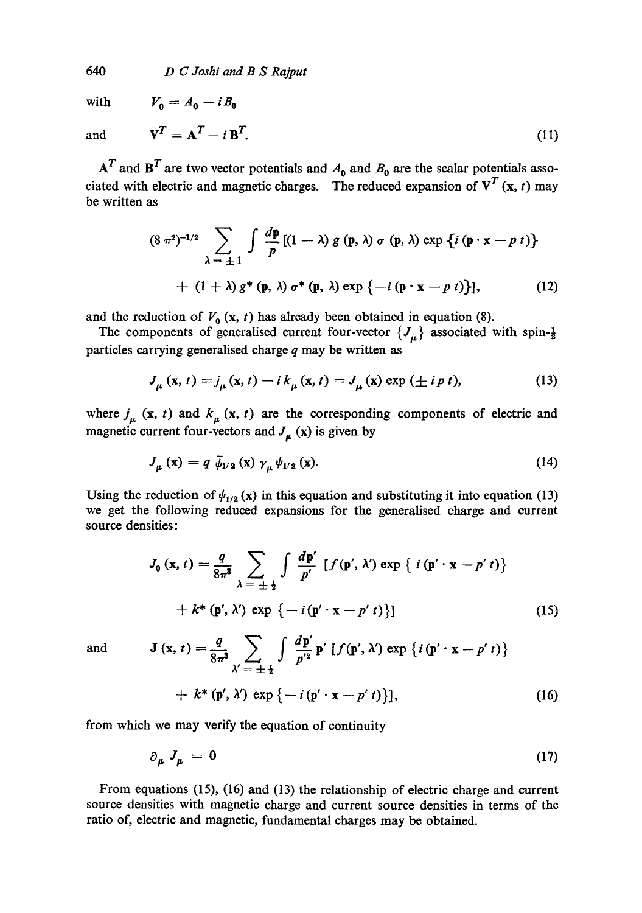640 *D C Joshi and B S Rajput* 

with  $V_0 = A_0 - i B_0$ 

and 
$$
\mathbf{V}^T = \mathbf{A}^T - i \mathbf{B}^T. \tag{11}
$$

 $A<sup>T</sup>$  and  $B<sup>T</sup>$  are two vector potentials and  $A<sub>0</sub>$  and  $B<sub>0</sub>$  are the scalar potentials associated with electric and magnetic charges. The reduced expansion of  $V^T$  (x, t) may be written as

$$
(8 \pi^2)^{-1/2} \sum_{\lambda = \pm 1} \int \frac{dp}{p} [(1 - \lambda) g(p, \lambda) \sigma(p, \lambda) \exp \{i (p \cdot x - p t)\} + (1 + \lambda) g^*(p, \lambda) \sigma^*(p, \lambda) \exp \{-i (p \cdot x - p t)\}], \qquad (12)
$$

and the reduction of  $V_0$  (x, t) has already been obtained in equation (8).

The components of generalised current four-vector  ${J<sub>\mu</sub>}$  associated with spin- $\frac{1}{2}$ particles carrying generalised charge  $q$  may be written as

$$
J_{\mu}\left(\mathbf{x},t\right) = j_{\mu}\left(\mathbf{x},t\right) - i k_{\mu}\left(\mathbf{x},t\right) = J_{\mu}\left(\mathbf{x}\right) \exp\left(\pm i p t\right),\tag{13}
$$

where  $j_{\mu}$  (x, t) and  $k_{\mu}$  (x, t) are the corresponding components of electric and magnetic current four-vectors and  $J_{\mu}$  (x) is given by

$$
J_{\mu}(\mathbf{x}) = q \, \bar{\psi}_{1/2}(\mathbf{x}) \, \gamma_{\mu} \psi_{1/2}(\mathbf{x}). \tag{14}
$$

Using the reduction of  $\psi_{1/2} (x)$  in this equation and substituting it into equation (13) we get the following reduced expansions for the generalised charge and current source densities:

$$
J_0(\mathbf{x}, t) = \frac{q}{8\pi^3} \sum_{\lambda = \pm \frac{1}{2}} \int \frac{d\mathbf{p}'}{p'} \left[ f(\mathbf{p}', \lambda') \exp \{ i (\mathbf{p}' \cdot \mathbf{x} - p' t) \} + k^*(\mathbf{p}', \lambda') \exp \{ - i (\mathbf{p}' \cdot \mathbf{x} - p' t) \} \right]
$$
(15)

and

$$
\mathbf{J}(\mathbf{x},t) = \frac{q}{8\pi^3} \sum_{\lambda' = \pm \frac{1}{2}} \int \frac{d\mathbf{p}'}{p'^2} \mathbf{p}' \left[ f(\mathbf{p}', \lambda') \exp \left\{ i \left( \mathbf{p}' \cdot \mathbf{x} - p' \, t \right) \right\} + k^* \left( \mathbf{p}', \lambda' \right) \exp \left\{ - i \left( \mathbf{p}' \cdot \mathbf{x} - p' \, t \right) \right\} \right],\tag{16}
$$

from which we may verify the equation of continuity

$$
\partial_{\mu} J_{\mu} = 0 \tag{17}
$$

From equations (15), (16) and (13) the relationship of electric charge and current source densities with magnetic charge and current source densities in terms of the ratio of, electric and magnetic, fundamental charges may be obtained.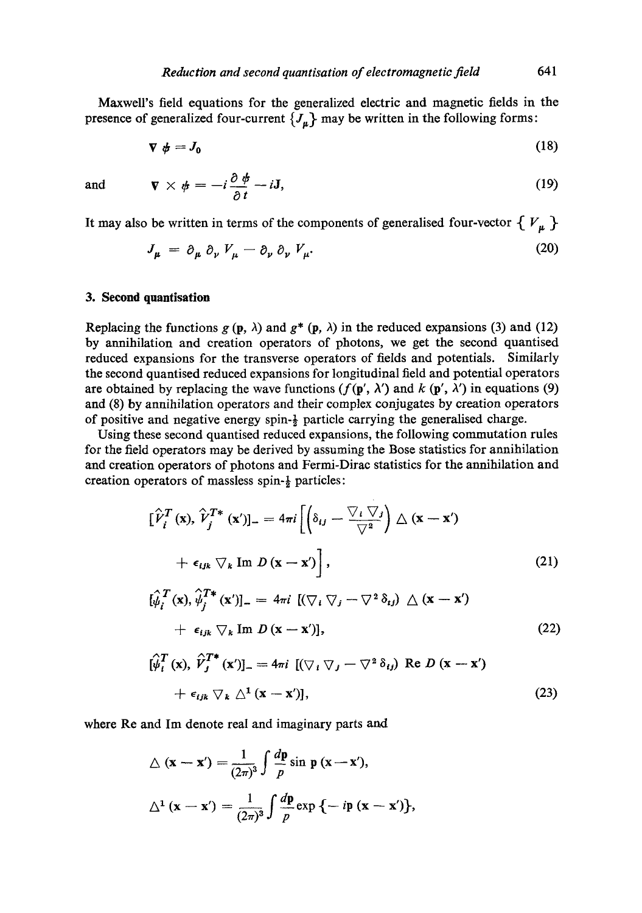MaxweU's field equations for the generalized electric and magnetic fields in the presence of generalized four-current  ${J_{\mu}}$  may be written in the following forms:

$$
\nabla \phi = J_0 \tag{18}
$$

and

$$
\nabla \times \phi = -i \frac{\partial \phi}{\partial t} - iJ,\tag{19}
$$

It may also be written in terms of the components of generalised four-vector  $\{V_{\mu}\}\$ 

$$
J_{\mu} = \partial_{\mu} \partial_{\nu} V_{\mu} - \partial_{\nu} \partial_{\nu} V_{\mu}.
$$
 (20)

#### **3. Second quantisation**

Replacing the functions  $g(p, \lambda)$  and  $g^*(p, \lambda)$  in the reduced expansions (3) and (12) by annihilation and creation operators of photons, we get the second quantised reduced expansions for the transverse operators of fields and potentials. Similarly the second quantised reduced expansions for longitudinal field and potential operators are obtained by replacing the wave functions ( $f(\mathbf{p}', \lambda')$  and  $k(\mathbf{p}', \lambda')$  in equations (9) and (8) by annihilation operators and their complex conjugates by creation operators of positive and negative energy spin- $\frac{1}{2}$  particle carrying the generalised charge.

Using these second quantised reduced expansions, the following commutation rules for the field operators may be derived by assuming the Bose statistics for annihilation and creation operators of photons and Fermi-Dirac statistics for the annihilation and creation operators of massless spin-½ particles:

$$
\left[\hat{V}_i^T(\mathbf{x}), \hat{V}_j^{T*}(\mathbf{x}')\right] = 4\pi i \left[\left(\delta_{ij} - \frac{\nabla_i \nabla_j}{\nabla^2}\right) \Delta(\mathbf{x} - \mathbf{x}') + \epsilon_{ijk} \nabla_k \operatorname{Im} D(\mathbf{x} - \mathbf{x}')\right],
$$
\n
$$
\left[\hat{\psi}_i^T(\mathbf{x}), \hat{\psi}_j^{T*}(\mathbf{x}')\right] = 4\pi i \left[(\nabla_i \nabla_j - \nabla^2 \delta_{ij}) \Delta(\mathbf{x} - \mathbf{x}') + \epsilon_{ijk} \nabla_k \operatorname{Im} D(\mathbf{x} - \mathbf{x}')\right],
$$
\n
$$
\left[\hat{\psi}_i^T(\mathbf{x}), \hat{V}_j^{T*}(\mathbf{x}')\right] = 4\pi i \left[(\nabla_i \nabla_j - \nabla^2 \delta_{ij}) \operatorname{Re} D(\mathbf{x} - \mathbf{x}')\right]
$$
\n
$$
+ \epsilon_{ijk} \nabla_k \Delta^1(\mathbf{x} - \mathbf{x}')\right],
$$
\n(23)

where Re and Im denote real and imaginary parts and

$$
\Delta (\mathbf{x} - \mathbf{x}') = \frac{1}{(2\pi)^3} \int \frac{d\mathbf{p}}{p} \sin \mathbf{p} (\mathbf{x} - \mathbf{x}'),
$$
  

$$
\Delta^1 (\mathbf{x} - \mathbf{x}') = \frac{1}{(2\pi)^3} \int \frac{d\mathbf{p}}{p} \exp \{-i\mathbf{p} (\mathbf{x} - \mathbf{x}')\},
$$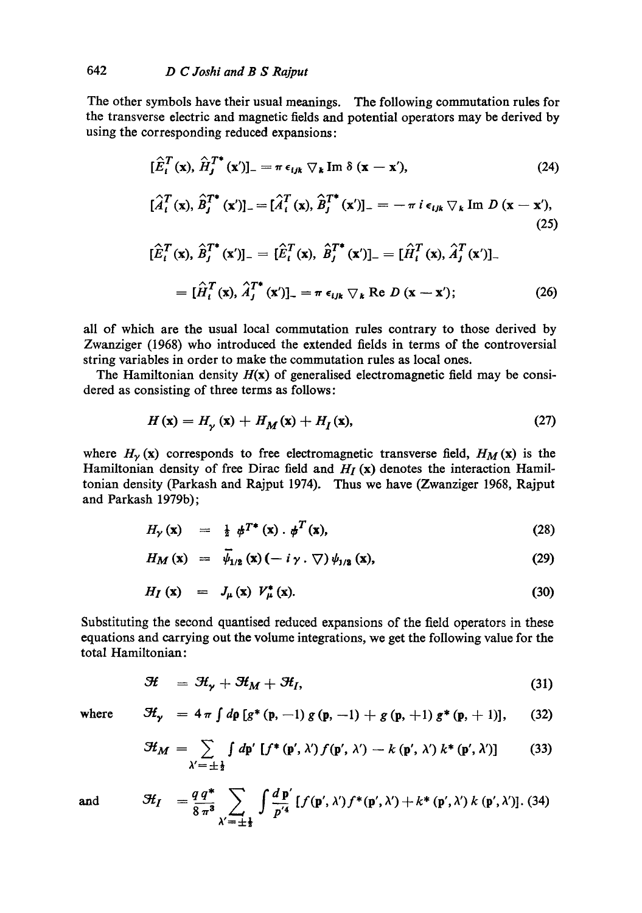The other symbols have their usual meanings. The following commutation rules for the transverse electric and magnetic fields and potential operators may be derived by using the corresponding reduced expansions:

$$
[\hat{E}_i^T(\mathbf{x}), \hat{H}_j^{T*}(\mathbf{x}')]_{-} = \pi \, \epsilon_{ijk} \, \nabla_k \, \text{Im} \, \delta \, (\mathbf{x} - \mathbf{x}'), \tag{24}
$$

$$
[\hat{A}_i^T(\mathbf{x}), \hat{B}_j^{T*}(\mathbf{x}')] = [\hat{A}_i^T(\mathbf{x}), \hat{B}_j^{T*}(\mathbf{x}')]_-= -\pi i \epsilon_{ijk} \nabla_k \text{Im } D(\mathbf{x}-\mathbf{x}'),
$$
\n(25)

$$
[\hat{E}_i^T(\mathbf{x}), \hat{B}_j^{T*}(\mathbf{x}')] = [\hat{E}_i^T(\mathbf{x}), \hat{B}_j^{T*}(\mathbf{x}')] = [\hat{H}_i^T(\mathbf{x}), \hat{A}_j^T(\mathbf{x}')]_- = [\hat{H}_i^T(\mathbf{x}), \hat{A}_j^{T*}(\mathbf{x}')]_-= \pi \epsilon_{ijk} \nabla_k \text{ Re } D(\mathbf{x} - \mathbf{x}');
$$
 (26)

all of which are the usual local commutation rules contrary to those derived by Zwanziger (1968) who introduced the extended fields in terms of the controversial string variables in order to make the commutation rules as local ones.

The Hamiltonian density  $H(x)$  of generalised electromagnetic field may be considered as consisting of three terms as follows:

$$
H(\mathbf{x}) = H_{\mathbf{y}}(\mathbf{x}) + H_{\mathbf{M}}(\mathbf{x}) + H_{\mathbf{I}}(\mathbf{x}),\tag{27}
$$

where  $H_{\gamma}$  (x) corresponds to free electromagnetic transverse field,  $H_M$  (x) is the Hamiltonian density of free Dirac field and *H<sub>I</sub>* (x) denotes the interaction Hamiltonian density (Parkash and Rajput 1974). Thus we have (Zwanziger 1968, Rajput and Parkash 1979b);

$$
H_{\gamma}(\mathbf{x}) = \frac{1}{2} \phi^{T^*}(\mathbf{x}) \cdot \phi^T(\mathbf{x}), \qquad (28)
$$

$$
H_M\left(\mathbf{x}\right) = \overline{\psi}_{1/2}\left(\mathbf{x}\right)\left(-i\,\gamma\,.\,\nabla\right)\psi_{1/2}\left(\mathbf{x}\right),\tag{29}
$$

$$
H_I(\mathbf{x}) = J_\mu(\mathbf{x}) V_\mu^*(\mathbf{x}). \tag{30}
$$

Substituting the second quantised reduced expansions of the field operators in these equations and carrying out the volume integrations, we get the following value for the total Hamiltonian:

$$
\mathcal{H} = \mathcal{H}_{\gamma} + \mathcal{H}_{M} + \mathcal{H}_{I}, \tag{31}
$$

where

$$
\mathcal{H}_{\gamma} = 4 \pi \int d\rho \left[ g^*(p, -1) g(p, -1) + g(p, +1) g^*(p, +1) \right], \quad (32)
$$

$$
\mathcal{H}_M = \sum_{\lambda' = \pm \frac{1}{2}} \int d\mathbf{p}' \left[ f^*(\mathbf{p}', \lambda') f(\mathbf{p}', \lambda') - k(\mathbf{p}', \lambda') k^*(\mathbf{p}', \lambda') \right] \tag{33}
$$

$$
\mathcal{H}_I = \frac{q \, q^*}{8 \, \pi^3} \sum_{\substack{\lambda' = \pm \frac{1}{2} }} \int \frac{d \, \mathbf{p}'}{p'^4} \left[ f(\mathbf{p}', \lambda') f^*(\mathbf{p}', \lambda') + k^*(\mathbf{p}', \lambda') \, k \, (\mathbf{p}', \lambda') \right]. \tag{34}
$$

and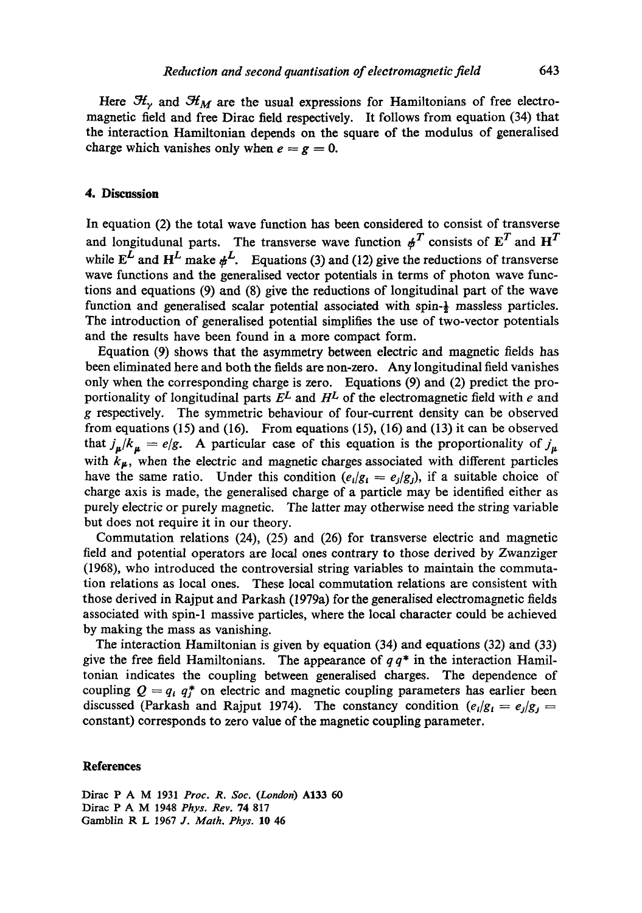Here  $H_{\gamma}$  and  $H_M$  are the usual expressions for Hamiltonians of free electromagnetic field and free Dirae field respectively. It follows from equation (34) that the interaction Hamiltonian depends on the square of the modulus of generalised charge which vanishes only when  $e = g = 0$ .

## **4. Discussion**

In equation (2) the total wave function has been considered to consist of transverse and longitudunal parts. The transverse wave function  $\boldsymbol{\phi}^T$  consists of  $\boldsymbol{\mathrm{E}}^T$  and  $\boldsymbol{\mathrm{H}}^T$ while  $E^{\overline{L}}$  and  $H^L$  make  $\psi^L$ . Equations (3) and (12) give the reductions of transverse wave functions and the generalised vector potentials in terms of photon wave functions and equations (9) and (8) give the reductions of longitudinal part of the wave function and generalised scalar potential associated with spin- $\frac{1}{2}$  massless particles. The introduction of generalised potential simplifies the use of two-vector potentials and the results have been found in a more compact form.

Equation (9) shows that the asymmetry between electric and magnetic fields has been eliminated here and both the fields are non-zero. Any longitudinal field vanishes only when the corresponding charge is zero. Equations (9) and (2) predict the proportionality of longitudinal parts  $E^L$  and  $H^L$  of the electromagnetic field with e and g respectively. The symmetric behaviour of four-current density can be observed from equations (15) and (16). From equations (15), (16) and (13) it can be observed that  $j_{\mu}/k_{\mu} = e/g$ . A particular case of this equation is the proportionality of  $j_{\mu}$ with  $k_{\mu}$ , when the electric and magnetic charges associated with different particles have the same ratio. Under this condition  $(e_i/g_i = e_i/g_i)$ , if a suitable choice of charge axis is made, the generalised charge of a particle may be identified either as purely electric or purely magnetic. The latter may otherwise need the string variable but does not require it in our theory.

Commutation relations (24), (25) and (26) for transverse electric and magnetic field and potential operators are local ones contrary to those derived by Zwanziger (1968), who introduced the controversial string variables to maintain the commutation relations as local ones. These local commutation relations are consistent with those derived in Rajput and Parkash (1979a) for the generalised electromagnetic fields associated with spin-1 massive particles, where the local character could be achieved by making the mass as vanishing.

The interaction Hamiltonian is given by equation (34) and equations (32) and (33) give the free field Hamiltonians. The appearance of  $q q^*$  in the interaction Hamiltonian indicates the coupling between generalised charges. The dependence of coupling  $Q = q_i q_j^*$  on electric and magnetic coupling parameters has earlier been discussed (Parkash and Rajput 1974). The constancy condition  $(e_i/g_i = e_j/g_j =$ constant) corresponds to zero value of the magnetic coupling parameter.

#### **References**

Dirae P A M 1931 *Proc. R. Soc. (London)* A133 60 Dirac P A M 1948 *Phys. Rev.* 74 817 Gamblin R L 1967 J. *Math. Phys.* 10 46